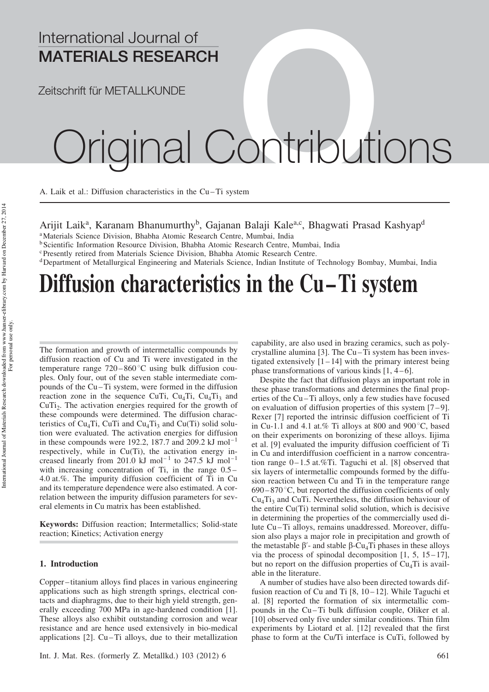### International Journal of MATERIALS RESEARCH

Zeitschrift für METALLKUNDE

# ginal Contributions

A. Laik et al.: Diffusion characteristics in the Cu-Ti system

Arijit Laik<sup>a</sup>, Karanam Bhanumurthy<sup>b</sup>, Gajanan Balaji Kale<sup>a,c</sup>, Bhagwati Prasad Kashyap<sup>d</sup>

<sup>a</sup>Materials Science Division, Bhabha Atomic Research Centre, Mumbai, India

<sup>b</sup> Scientific Information Resource Division, Bhabha Atomic Research Centre, Mumbai, India

<sup>c</sup> Presently retired from Materials Science Division, Bhabha Atomic Research Centre.

<sup>d</sup>Department of Metallurgical Engineering and Materials Science, Indian Institute of Technology Bombay, Mumbai, India

## Diffusion characteristics in the Cu-Ti system

The formation and growth of intermetallic compounds by diffusion reaction of Cu and Ti were investigated in the temperature range  $720 - 860^{\circ}$ C using bulk diffusion couples. Only four, out of the seven stable intermediate compounds of the Cu – Ti system, were formed in the diffusion reaction zone in the sequence CuTi,  $Cu<sub>4</sub>Ti$ ,  $Cu<sub>4</sub>Ti<sub>3</sub>$  and CuTi<sub>2</sub>. The activation energies required for the growth of these compounds were determined. The diffusion characteristics of Cu<sub>4</sub>Ti, CuTi and Cu<sub>4</sub>Ti<sub>3</sub> and Cu(Ti) solid solution were evaluated. The activation energies for diffusion in these compounds were 192.2, 187.7 and 209.2  $kJ \text{ mol}^{-1}$ respectively, while in Cu(Ti), the activation energy increased linearly from 201.0 kJ mol<sup>-1</sup> to 247.5 kJ mol<sup>-1</sup> with increasing concentration of Ti, in the range 0.5– 4.0 at.%. The impurity diffusion coefficient of Ti in Cu and its temperature dependence were also estimated. A correlation between the impurity diffusion parameters for several elements in Cu matrix has been established.

Keywords: Diffusion reaction; Intermetallics; Solid-state reaction; Kinetics; Activation energy

#### 1. Introduction

Copper –titanium alloys find places in various engineering applications such as high strength springs, electrical contacts and diaphragms, due to their high yield strength, generally exceeding 700 MPa in age-hardened condition [1]. These alloys also exhibit outstanding corrosion and wear resistance and are hence used extensively in bio-medical applications  $[2]$ . Cu $-Ti$  alloys, due to their metallization capability, are also used in brazing ceramics, such as polycrystalline alumina [3]. The Cu – Ti system has been investigated extensively  $[1 - 14]$  with the primary interest being phase transformations of various kinds  $[1, 4-6]$ .

Despite the fact that diffusion plays an important role in these phase transformations and determines the final properties of the Cu-Ti alloys, only a few studies have focused on evaluation of diffusion properties of this system  $[7-9]$ . Rexer [7] reported the intrinsic diffusion coefficient of Ti in Cu-1.1 and 4.1 at.% Ti alloys at 800 and 900 $\degree$ C, based on their experiments on boronizing of these alloys. Iijima et al. [9] evaluated the impurity diffusion coefficient of Ti in Cu and interdiffusion coefficient in a narrow concentration range  $0-1.5$  at.%Ti. Taguchi et al. [8] observed that six layers of intermetallic compounds formed by the diffusion reaction between Cu and Ti in the temperature range  $690 - 870$  °C, but reported the diffusion coefficients of only  $Cu<sub>4</sub>Ti<sub>3</sub>$  and CuTi. Nevertheless, the diffusion behaviour of the entire Cu(Ti) terminal solid solution, which is decisive in determining the properties of the commercially used dilute Cu – Ti alloys, remains unaddressed. Moreover, diffusion also plays a major role in precipitation and growth of the metastable  $\beta'$ - and stable  $\beta$ -Cu<sub>4</sub>Ti phases in these alloys via the process of spinodal decomposition  $[1, 5, 15-17]$ , but no report on the diffusion properties of  $Cu<sub>4</sub>Ti$  is available in the literature.

A number of studies have also been directed towards diffusion reaction of Cu and Ti  $[8, 10-12]$ . While Taguchi et al. [8] reported the formation of six intermetallic compounds in the Cu – Ti bulk diffusion couple, Oliker et al. [10] observed only five under similar conditions. Thin film experiments by Liotard et al. [12] revealed that the first phase to form at the Cu/Ti interface is CuTi, followed by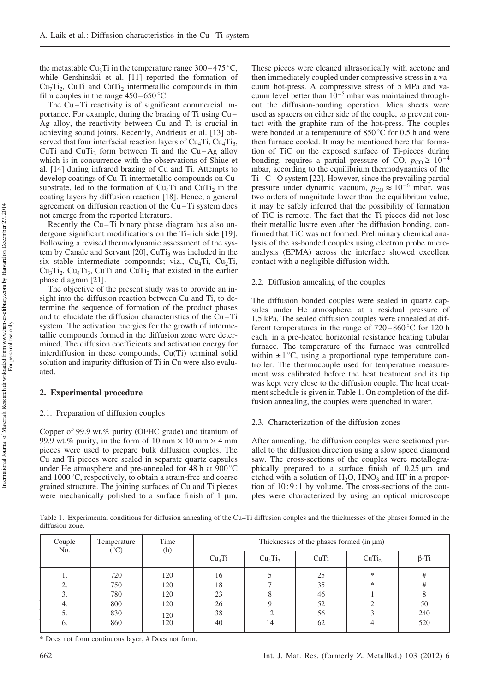the metastable Cu<sub>3</sub>Ti in the temperature range  $300-475$  °C, while Gershinskii et al. [11] reported the formation of  $Cu<sub>7</sub>Ti<sub>2</sub>$ , CuTi and CuTi<sub>2</sub> intermetallic compounds in thin film couples in the range  $450 - 650$  °C.

The Cu-Ti reactivity is of significant commercial importance. For example, during the brazing of Ti using Cu – Ag alloy, the reactivity between Cu and Ti is crucial in achieving sound joints. Recently, Andrieux et al. [13] observed that four interfacial reaction layers of  $Cu<sub>4</sub>Ti$ ,  $Cu<sub>4</sub>Ti<sub>3</sub>$ , CuTi and  $CuTi<sub>2</sub>$  form between Ti and the Cu-Ag alloy which is in concurrence with the observations of Shiue et al. [14] during infrared brazing of Cu and Ti. Attempts to develop coatings of Cu-Ti intermetallic compounds on Cusubstrate, led to the formation of  $Cu<sub>4</sub>Ti$  and  $CuTi<sub>2</sub>$  in the coating layers by diffusion reaction [18]. Hence, a general agreement on diffusion reaction of the Cu – Ti system does not emerge from the reported literature.

Recently the Cu-Ti binary phase diagram has also undergone significant modifications on the Ti-rich side [19]. Following a revised thermodynamic assessment of the system by Canale and Servant  $[20]$ , CuTi<sub>3</sub> was included in the six stable intermediate compounds; viz.,  $Cu<sub>4</sub>Ti$ ,  $Cu<sub>2</sub>Ti$ ,  $Cu<sub>3</sub>Ti<sub>2</sub>$ ,  $Cu<sub>4</sub>Ti<sub>3</sub>$ ,  $CuTi$  and  $CuTi<sub>2</sub>$  that existed in the earlier phase diagram [21].

The objective of the present study was to provide an insight into the diffusion reaction between Cu and Ti, to determine the sequence of formation of the product phases and to elucidate the diffusion characteristics of the Cu –Ti system. The activation energies for the growth of intermetallic compounds formed in the diffusion zone were determined. The diffusion coefficients and activation energy for interdiffusion in these compounds, Cu(Ti) terminal solid solution and impurity diffusion of Ti in Cu were also evaluated.

#### 2. Experimental procedure

#### 2.1. Preparation of diffusion couples

Copper of 99.9 wt.% purity (OFHC grade) and titanium of 99.9 wt.% purity, in the form of 10 mm  $\times$  10 mm  $\times$  4 mm pieces were used to prepare bulk diffusion couples. The Cu and Ti pieces were sealed in separate quartz capsules under He atmosphere and pre-annealed for 48 h at  $900^{\circ}$ C and  $1000\,^{\circ}$ C, respectively, to obtain a strain-free and coarse grained structure. The joining surfaces of Cu and Ti pieces were mechanically polished to a surface finish of  $1 \mu m$ .

These pieces were cleaned ultrasonically with acetone and then immediately coupled under compressive stress in a vacuum hot-press. A compressive stress of 5 MPa and vacuum level better than  $10^{-5}$  mbar was maintained throughout the diffusion-bonding operation. Mica sheets were used as spacers on either side of the couple, to prevent contact with the graphite ram of the hot-press. The couples were bonded at a temperature of  $850^{\circ}$ C for 0.5 h and were then furnace cooled. It may be mentioned here that formation of TiC on the exposed surface of Ti-pieces during bonding, requires a partial pressure of CO,  $p_{\text{CO}} \geq 10^{-4}$ mbar, according to the equilibrium thermodynamics of the Ti –C – O system [22]. However, since the prevailing partial pressure under dynamic vacuum,  $p_{CO} \approx 10^{-6}$  mbar, was two orders of magnitude lower than the equilibrium value, it may be safely inferred that the possibility of formation of TiC is remote. The fact that the Ti pieces did not lose their metallic lustre even after the diffusion bonding, confirmed that TiC was not formed. Preliminary chemical analysis of the as-bonded couples using electron probe microanalysis (EPMA) across the interface showed excellent contact with a negligible diffusion width.

#### 2.2. Diffusion annealing of the couples

The diffusion bonded couples were sealed in quartz capsules under He atmosphere, at a residual pressure of 1.5 kPa. The sealed diffusion couples were annealed at different temperatures in the range of  $720-860$  °C for 120 h each, in a pre-heated horizontal resistance heating tubular furnace. The temperature of the furnace was controlled within  $\pm 1$  °C, using a proportional type temperature controller. The thermocouple used for temperature measurement was calibrated before the heat treatment and its tip was kept very close to the diffusion couple. The heat treatment schedule is given in Table 1. On completion of the diffusion annealing, the couples were quenched in water.

#### 2.3. Characterization of the diffusion zones

After annealing, the diffusion couples were sectioned parallel to the diffusion direction using a slow speed diamond saw. The cross-sections of the couples were metallographically prepared to a surface finish of  $0.25 \mu m$  and etched with a solution of  $H_2O$ ,  $HNO_3$  and HF in a proportion of 10: 9: 1 by volume. The cross-sections of the couples were characterized by using an optical microscope

Table 1. Experimental conditions for diffusion annealing of the Cu–Ti diffusion couples and the thicknesses of the phases formed in the diffusion zone.

| Couple<br>No.                                     | Temperature<br>$(^\circ\mathrm{C})$    | Time<br>(h)                            | Thicknesses of the phases formed (in µm) |                                 |                                  |                   |                            |
|---------------------------------------------------|----------------------------------------|----------------------------------------|------------------------------------------|---------------------------------|----------------------------------|-------------------|----------------------------|
|                                                   |                                        |                                        | Cu <sub>4</sub> Ti                       | Cu <sub>4</sub> Ti <sub>3</sub> | CuTi                             | CuTi <sub>2</sub> | $\beta$ -Ti                |
| .,<br>$\mathcal{L}$<br>z.<br>3.<br>4.<br>5.<br>6. | 720<br>750<br>780<br>800<br>830<br>860 | 120<br>120<br>120<br>120<br>120<br>120 | 16<br>18<br>23<br>26<br>38<br>40         | 8<br>Q<br>12<br>14              | 25<br>35<br>46<br>52<br>56<br>62 | $\ast$<br>*       | #<br>#<br>50<br>240<br>520 |

\* Does not form continuous layer, # Does not form.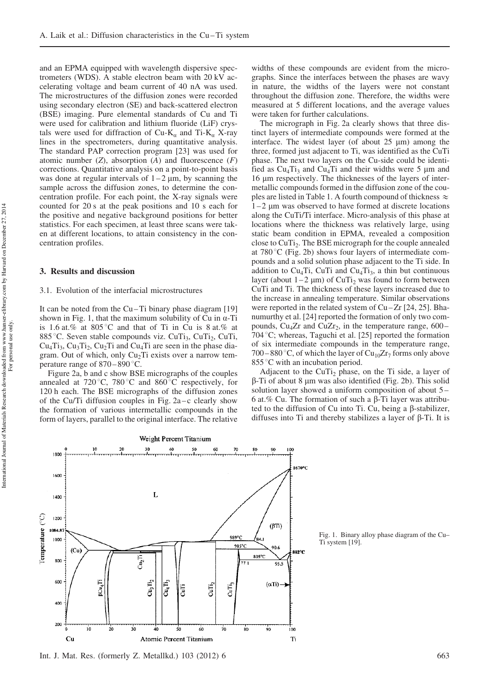and an EPMA equipped with wavelength dispersive spectrometers (WDS). A stable electron beam with 20 kV accelerating voltage and beam current of 40 nA was used. The microstructures of the diffusion zones were recorded using secondary electron (SE) and back-scattered electron (BSE) imaging. Pure elemental standards of Cu and Ti were used for calibration and lithium fluoride (LiF) crystals were used for diffraction of Cu-K<sub>a</sub> and Ti-K<sub>a</sub> X-ray lines in the spectrometers, during quantitative analysis. The standard PAP correction program [23] was used for atomic number  $(Z)$ , absorption  $(A)$  and fluorescence  $(F)$ corrections. Quantitative analysis on a point-to-point basis was done at regular intervals of  $1-2 \mu m$ , by scanning the sample across the diffusion zones, to determine the concentration profile. For each point, the X-ray signals were counted for 20 s at the peak positions and 10 s each for the positive and negative background positions for better statistics. For each specimen, at least three scans were taken at different locations, to attain consistency in the concentration profiles.

#### 3. Results and discussion

#### 3.1. Evolution of the interfacial microstructures

It can be noted from the Cu – Ti binary phase diagram [19] shown in Fig. 1, that the maximum solubility of Cu in  $\alpha$ -Ti is 1.6 at.% at 805 °C and that of Ti in Cu is 8 at.% at 885 °C. Seven stable compounds viz.  $CuTi<sub>3</sub>$ ,  $CuTi<sub>2</sub>$ ,  $CuTi<sub>3</sub>$  $Cu<sub>4</sub>Ti<sub>3</sub>$ ,  $Cu<sub>3</sub>Ti<sub>2</sub>$ ,  $Cu<sub>2</sub>Ti$  and  $Cu<sub>4</sub>Ti$  are seen in the phase diagram. Out of which, only  $Cu<sub>2</sub>Ti$  exists over a narrow temperature range of  $870 - 890$  °C.

Figure 2a, b and c show BSE micrographs of the couples annealed at  $720^{\circ}$ C,  $780^{\circ}$ C and  $860^{\circ}$ C respectively, for 120 h each. The BSE micrographs of the diffusion zones of the Cu/Ti diffusion couples in Fig.  $2a - c$  clearly show the formation of various intermetallic compounds in the form of layers, parallel to the original interface. The relative widths of these compounds are evident from the micrographs. Since the interfaces between the phases are wavy in nature, the widths of the layers were not constant throughout the diffusion zone. Therefore, the widths were measured at 5 different locations, and the average values were taken for further calculations.

The micrograph in Fig. 2a clearly shows that three distinct layers of intermediate compounds were formed at the interface. The widest layer (of about  $25 \mu m$ ) among the three, formed just adjacent to Ti, was identified as the CuTi phase. The next two layers on the Cu-side could be identified as  $Cu<sub>4</sub>Ti<sub>3</sub>$  and  $Cu<sub>4</sub>Ti$  and their widths were 5 µm and 16 lm respectively. The thicknesses of the layers of intermetallic compounds formed in the diffusion zone of the couples are listed in Table 1. A fourth compound of thickness  $\approx$  $1-2$  µm was observed to have formed at discrete locations along the CuTi/Ti interface. Micro-analysis of this phase at locations where the thickness was relatively large, using static beam condition in EPMA, revealed a composition close to CuTi<sub>2</sub>. The BSE micrograph for the couple annealed at  $780^{\circ}$ C (Fig. 2b) shows four layers of intermediate compounds and a solid solution phase adjacent to the Ti side. In addition to  $Cu<sub>4</sub>Ti$ ,  $CuTi$  and  $Cu<sub>4</sub>Ti<sub>3</sub>$ , a thin but continuous layer (about  $1-2 \mu m$ ) of CuTi<sub>2</sub> was found to form between CuTi and Ti. The thickness of these layers increased due to the increase in annealing temperature. Similar observations were reported in the related system of Cu-Zr [24, 25]. Bhanumurthy et al. [24] reported the formation of only two compounds,  $Cu<sub>4</sub>Zr$  and  $CuZr<sub>2</sub>$ , in the temperature range, 600– 704 °C; whereas, Taguchi et al. [25] reported the formation of six intermediate compounds in the temperature range, 700–880 °C, of which the layer of  $Cu_{10}Zr_7$  forms only above 855 °C with an incubation period.

Adjacent to the CuTi<sub>2</sub> phase, on the Ti side, a layer of  $\beta$ -Ti of about 8 µm was also identified (Fig. 2b). This solid solution layer showed a uniform composition of about 5 – 6 at.% Cu. The formation of such a  $\beta$ -Ti layer was attributed to the diffusion of Cu into Ti. Cu, being a  $\beta$ -stabilizer, diffuses into Ti and thereby stabilizes a layer of  $\beta$ -Ti. It is



Fig. 1. Binary alloy phase diagram of the Cu– Ti system [19].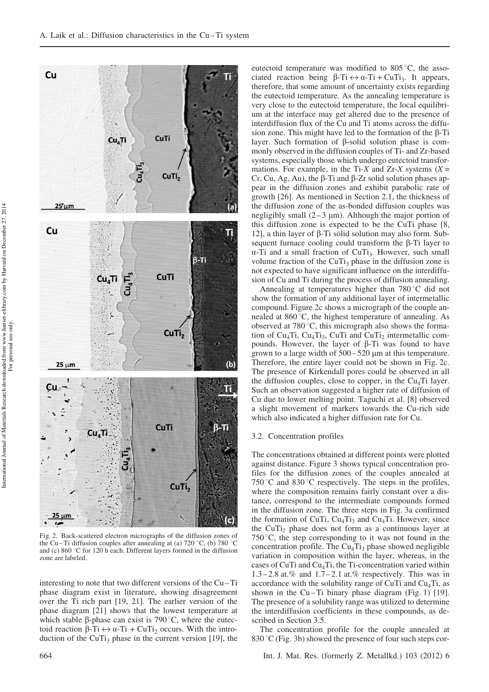

Fig. 2. Back-scattered electron micrographs of the diffusion zones of the Cu-Ti diffusion couples after annealing at (a) 720 °C, (b) 780 °C and (c)  $860^{\circ}$ C for 120 h each. Different layers formed in the diffusion zone are labeled.

interesting to note that two different versions of the Cu – Ti phase diagram exist in literature, showing disagreement over the Ti rich part [19, 21]. The earlier version of the phase diagram [21] shows that the lowest temperature at which stable  $\beta$ -phase can exist is 790 °C, where the eutectoid reaction  $\beta$ -Ti  $\leftrightarrow \alpha$ -Ti + CuTi<sub>2</sub> occurs. With the introduction of the CuTi<sub>3</sub> phase in the current version [19], the

eutectoid temperature was modified to  $805^{\circ}$ C, the associated reaction being  $\beta$ -Ti  $\leftrightarrow \alpha$ -Ti + CuTi<sub>3</sub>. It appears, therefore, that some amount of uncertainty exists regarding the eutectoid temperature. As the annealing temperature is very close to the eutectoid temperature, the local equilibrium at the interface may get altered due to the presence of interdiffusion flux of the Cu and Ti atoms across the diffusion zone. This might have led to the formation of the  $\beta$ -Ti layer. Such formation of  $\beta$ -solid solution phase is commonly observed in the diffusion couples of Ti- and Zr-based systems, especially those which undergo eutectoid transformations. For example, in the Ti-X and Zr-X systems  $(X =$ Cr, Cu, Ag, Au), the  $\beta$ -Ti and  $\beta$ -Zr solid solution phases appear in the diffusion zones and exhibit parabolic rate of growth [26]. As mentioned in Section 2.1, the thickness of the diffusion zone of the as-bonded diffusion couples was negligibly small  $(2-3 \mu m)$ . Although the major portion of this diffusion zone is expected to be the CuTi phase [8, 12], a thin layer of  $\beta$ -Ti solid solution may also form. Subsequent furnace cooling could transform the  $\beta$ -Ti layer to  $\alpha$ -Ti and a small fraction of CuTi<sub>3</sub>. However, such small volume fraction of the CuTi<sub>3</sub> phase in the diffusion zone is not expected to have significant influence on the interdiffusion of Cu and Ti during the process of diffusion annealing.

Annealing at temperatures higher than  $780^{\circ}$ C did not show the formation of any additional layer of intermetallic compound. Figure 2c shows a micrograph of the couple annealed at  $860^{\circ}$ C, the highest temperature of annealing. As observed at  $780^{\circ}$ C, this micrograph also shows the formation of  $Cu<sub>4</sub>Ti$ ,  $Cu<sub>4</sub>Ti<sub>3</sub>$ ,  $CuTi$  and  $CuTi<sub>2</sub>$  intermetallic compounds. However, the layer of  $\beta$ -Ti was found to have grown to a large width of  $500 - 520 \mu m$  at this temperature. Therefore, the entire layer could not be shown in Fig. 2c. The presence of Kirkendall pores could be observed in all the diffusion couples, close to copper, in the  $Cu<sub>4</sub>Ti$  layer. Such an observation suggested a higher rate of diffusion of Cu due to lower melting point. Taguchi et al. [8] observed a slight movement of markers towards the Cu-rich side which also indicated a higher diffusion rate for Cu.

#### 3.2. Concentration profiles

The concentrations obtained at different points were plotted against distance. Figure 3 shows typical concentration profiles for the diffusion zones of the couples annealed at 750 °C and 830 °C respectively. The steps in the profiles, where the composition remains fairly constant over a distance, correspond to the intermediate compounds formed in the diffusion zone. The three steps in Fig. 3a confirmed the formation of CuTi,  $Cu<sub>4</sub>Ti<sub>3</sub>$  and Cu<sub>4</sub>Ti. However, since the CuTi<sub>2</sub> phase does not form as a continuous layer at 750 $\degree$ C, the step corresponding to it was not found in the concentration profile. The  $Cu<sub>4</sub>Ti<sub>3</sub>$  phase showed negligible variation in composition within the layer, whereas, in the cases of CuTi and  $Cu<sub>4</sub>Ti$ , the Ti-concentration varied within 1.3 – 2.8 at.% and 1.7 – 2.1 at.% respectively. This was in accordance with the solubility range of CuTi and  $Cu<sub>4</sub>Ti$ , as shown in the Cu–Ti binary phase diagram (Fig. 1) [19]. The presence of a solubility range was utilized to determine the interdiffusion coefficients in these compounds, as described in Section 3.5.

The concentration profile for the couple annealed at  $830\textdegree$ C (Fig. 3b) showed the presence of four such steps cor-

664 Int. J. Mat. Res. (formerly Z. Metallkd.) 103 (2012) 6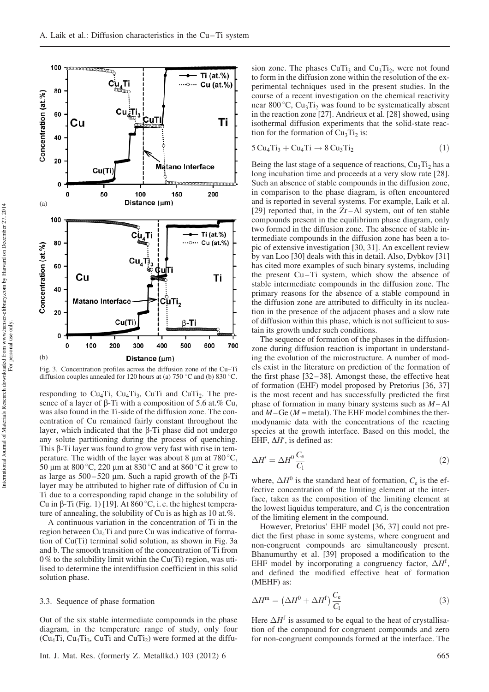

Fig. 3. Concentration profiles across the diffusion zone of the Cu–Ti diffusion couples annealed for 120 hours at (a) 750 °C and (b) 830 °C.

responding to  $Cu_4Ti$ ,  $Cu_4Ti_3$ ,  $CuTi$  and  $CuTi_2$ . The presence of a layer of  $\beta$ -Ti with a composition of 5.6 at.% Cu, was also found in the Ti-side of the diffusion zone. The concentration of Cu remained fairly constant throughout the layer, which indicated that the  $\beta$ -Ti phase did not undergo any solute partitioning during the process of quenching. This  $\beta$ -Ti layer was found to grow very fast with rise in temperature. The width of the layer was about 8  $\mu$ m at 780 °C, 50 µm at 800 °C, 220 µm at 830 °C and at 860 °C it grew to as large as  $500 - 520$  µm. Such a rapid growth of the  $\beta$ -Ti layer may be attributed to higher rate of diffusion of Cu in Ti due to a corresponding rapid change in the solubility of Cu in  $\beta$ -Ti (Fig. 1) [19]. At 860 °C, i.e. the highest temperature of annealing, the solubility of Cu is as high as 10 at.%.

A continuous variation in the concentration of Ti in the region between  $Cu<sub>4</sub>Ti$  and pure Cu was indicative of formation of Cu(Ti) terminal solid solution, as shown in Fig. 3a and b. The smooth transition of the concentration of Ti from  $0\%$  to the solubility limit within the Cu(Ti) region, was utilised to determine the interdiffusion coefficient in this solid solution phase.

#### 3.3. Sequence of phase formation

Out of the six stable intermediate compounds in the phase diagram, in the temperature range of study, only four  $(Cu_4Ti, Cu_4Ti_3, CuTi and CuTi_2)$  were formed at the diffu-

sion zone. The phases  $CuTi<sub>3</sub>$  and  $Cu<sub>3</sub>Ti<sub>2</sub>$ , were not found to form in the diffusion zone within the resolution of the experimental techniques used in the present studies. In the course of a recent investigation on the chemical reactivity near 800 °C,  $Cu_3Ti_2$  was found to be systematically absent in the reaction zone [27]. Andrieux et al. [28] showed, using isothermal diffusion experiments that the solid-state reaction for the formation of  $Cu<sub>3</sub>Ti<sub>2</sub>$  is:

$$
5 Cu4 Ti3 + Cu4 Ti \rightarrow 8 Cu3 Ti2
$$
 (1)

Being the last stage of a sequence of reactions,  $Cu<sub>3</sub>Ti<sub>2</sub>$  has a long incubation time and proceeds at a very slow rate [28]. Such an absence of stable compounds in the diffusion zone, in comparison to the phase diagram, is often encountered and is reported in several systems. For example, Laik et al. [29] reported that, in the Zr-Al system, out of ten stable compounds present in the equilibrium phase diagram, only two formed in the diffusion zone. The absence of stable intermediate compounds in the diffusion zone has been a topic of extensive investigation [30, 31]. An excellent review by van Loo [30] deals with this in detail. Also, Dybkov [31] has cited more examples of such binary systems, including the present Cu-Ti system, which show the absence of stable intermediate compounds in the diffusion zone. The primary reasons for the absence of a stable compound in the diffusion zone are attributed to difficulty in its nucleation in the presence of the adjacent phases and a slow rate of diffusion within this phase, which is not sufficient to sustain its growth under such conditions.

The sequence of formation of the phases in the diffusionzone during diffusion reaction is important in understanding the evolution of the microstructure. A number of models exist in the literature on prediction of the formation of the first phase [32-38]. Amongst these, the effective heat of formation (EHF) model proposed by Pretorius [36, 37] is the most recent and has successfully predicted the first phase of formation in many binary systems such as  $M$ –Al and  $M$ – Ge ( $M$  = metal). The EHF model combines the thermodynamic data with the concentrations of the reacting species at the growth interface. Based on this model, the EHF,  $\Delta H'$ , is defined as:

$$
\Delta H' = \Delta H^0 \frac{C_e}{C_1} \tag{2}
$$

where,  $\Delta H^0$  is the standard heat of formation,  $C_e$  is the effective concentration of the limiting element at the interface, taken as the composition of the limiting element at the lowest liquidus temperature, and  $C_1$  is the concentration of the limiting element in the compound.

However, Pretorius' EHF model [36, 37] could not predict the first phase in some systems, where congruent and non-congruent compounds are simultaneously present. Bhanumurthy et al. [39] proposed a modification to the EHF model by incorporating a congruency factor,  $\Delta H^{\text{f}}$ , and defined the modified effective heat of formation (MEHF) as:

$$
\Delta H^{\mathfrak{m}} = \left(\Delta H^{0} + \Delta H^{\mathfrak{f}}\right) \frac{C_{\mathbf{e}}}{C_{\mathbf{l}}} \tag{3}
$$

Here  $\Delta H^{\text{f}}$  is assumed to be equal to the heat of crystallisation of the compound for congruent compounds and zero for non-congruent compounds formed at the interface. The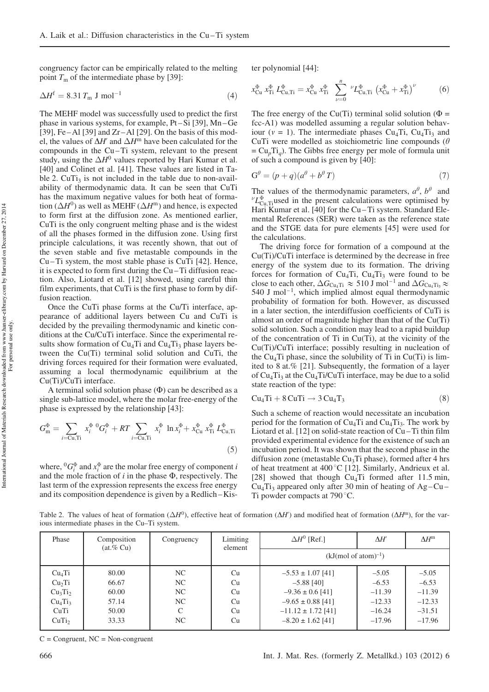congruency factor can be empirically related to the melting point  $T<sub>m</sub>$  of the intermediate phase by [39]:

$$
\Delta H^{\text{f}} = 8.31 T_{\text{m}} \text{ J mol}^{-1} \tag{4}
$$

The MEHF model was successfully used to predict the first phase in various systems, for example, Pt – Si [39], Mn – Ge [39], Fe – Al [39] and  $Zr$  – Al [29]. On the basis of this model, the values of  $\Delta H'$  and  $\Delta H^{\text{m}}$  have been calculated for the compounds in the Cu – Ti system, relevant to the present study, using the  $\Delta H^0$  values reported by Hari Kumar et al. [40] and Colinet et al. [41]. These values are listed in Table 2.  $CuTi<sub>3</sub>$  is not included in the table due to non-availability of thermodynamic data. It can be seen that CuTi has the maximum negative values for both heat of formation ( $\Delta H^0$ ) as well as MEHF ( $\Delta H^{\text{m}}$ ) and hence, is expected to form first at the diffusion zone. As mentioned earlier, CuTi is the only congruent melting phase and is the widest of all the phases formed in the diffusion zone. Using first principle calculations, it was recently shown, that out of the seven stable and five metastable compounds in the Cu – Ti system, the most stable phase is CuTi [42]. Hence, it is expected to form first during the Cu – Ti diffusion reaction. Also, Liotard et al. [12] showed, using careful thin film experiments, that CuTi is the first phase to form by diffusion reaction.

Once the CuTi phase forms at the Cu/Ti interface, appearance of additional layers between Cu and CuTi is decided by the prevailing thermodynamic and kinetic conditions at the Cu/CuTi interface. Since the experimental results show formation of  $Cu<sub>4</sub>Ti$  and  $Cu<sub>4</sub>Ti<sub>3</sub>$  phase layers between the Cu(Ti) terminal solid solution and CuTi, the driving forces required for their formation were evaluated, assuming a local thermodynamic equilibrium at the Cu(Ti)/CuTi interface.

A terminal solid solution phase  $(\Phi)$  can be described as a single sub-lattice model, where the molar free-energy of the phase is expressed by the relationship [43]:

$$
G_{\rm m}^{\Phi} = \sum_{i={\rm Cu,Ti}} x_i^{\Phi} {}^{0} G_i^{\Phi} + RT \sum_{i={\rm Cu,Ti}} x_i^{\Phi} \ln x_i^{\Phi} + x_{{\rm Cu}}^{\Phi} x_{{\rm Ti}}^{\Phi} L_{{\rm Cu,Ti}}^{\Phi}
$$
(5)

where,  ${}^{0}G_{i}^{\Phi}$  and  $x_{i}^{\Phi}$  are the molar free energy of component i and the mole fraction of  $i$  in the phase  $\Phi$ , respectively. The last term of the expression represents the excess free energy and its composition dependence is given by a Redlich – Kister polynomial [44]:

$$
x_{\text{Cu}}^{\Phi} x_{\text{Ti}}^{\Phi} L_{\text{Cu,Ti}}^{\Phi} = x_{\text{Cu}}^{\Phi} x_{\text{Ti}}^{\Phi} \sum_{\nu=0}^{n} {}^{\nu} L_{\text{Cu,Ti}}^{\Phi} \left( x_{\text{Cu}}^{\Phi} + x_{\text{Ti}}^{\Phi} \right)^{\nu} \tag{6}
$$

The free energy of the Cu(Ti) terminal solid solution ( $\Phi =$ fcc-A1) was modelled assuming a regular solution behaviour ( $v = 1$ ). The intermediate phases Cu<sub>4</sub>Ti, Cu<sub>4</sub>Ti<sub>3</sub> and CuTi were modelled as stoichiometric line compounds ( $\theta$ )  $= Cu_p Ti_q$ ). The Gibbs free energy per mole of formula unit of such a compound is given by [40]:

$$
G^{\theta} = (p+q)(a^{\theta} + b^{\theta} T) \tag{7}
$$

The values of the thermodynamic parameters,  $a^{\theta}$ ,  $b^{\theta}$  and  $L_{\text{Cu,Ti}}^{\Phi}$  used in the present calculations were optimised by Hari Kumar et al. [40] for the Cu-Ti system. Standard Elemental References (SER) were taken as the reference state and the STGE data for pure elements [45] were used for the calculations.

The driving force for formation of a compound at the Cu(Ti)/CuTi interface is determined by the decrease in free energy of the system due to its formation. The driving forces for formation of  $Cu<sub>4</sub>Ti$ ,  $Cu<sub>4</sub>Ti$ <sub>3</sub> were found to be close to each other,  $\Delta G_{\text{Cu}_4\text{Ti}} \approx 510 \text{ J} \text{ mol}^{-1}$  and  $\Delta G_{\text{Cu}_4\text{Ti}_3} \approx$  $540$  J mol<sup>-1</sup>, which implied almost equal thermodynamic probability of formation for both. However, as discussed in a later section, the interdiffusion coefficients of CuTi is almost an order of magnitude higher than that of the Cu(Ti) solid solution. Such a condition may lead to a rapid buildup of the concentration of Ti in Cu(Ti), at the vicinity of the Cu(Ti)/CuTi interface; possibly resulting in nucleation of the Cu<sub>4</sub>Ti phase, since the solubility of Ti in Cu(Ti) is limited to 8 at.% [21]. Subsequently, the formation of a layer of  $Cu<sub>4</sub>Ti<sub>3</sub>$  at the Cu<sub>4</sub>Ti/CuTi interface, may be due to a solid state reaction of the type:

$$
Cu4Ti + 8 CuTi \rightarrow 3 Cu4T3
$$
 (8)

Such a scheme of reaction would necessitate an incubation period for the formation of  $Cu<sub>4</sub>Ti$  and  $Cu<sub>4</sub>Ti<sub>3</sub>$ . The work by Liotard et al. [12] on solid-state reaction of Cu-Ti thin film provided experimental evidence for the existence of such an incubation period. It was shown that the second phase in the diffusion zone (metastable  $Cu<sub>3</sub>Ti$  phase), formed after 4 hrs of heat treatment at  $400^{\circ}$ C [12]. Similarly, Andrieux et al. [28] showed that though  $Cu<sub>4</sub>Ti$  formed after 11.5 min,  $Cu<sub>4</sub>Ti<sub>3</sub>$  appeared only after 30 min of heating of Ag – Cu – Ti powder compacts at  $790^{\circ}$ C.

Table 2. The values of heat of formation  $(\Delta H^0)$ , effective heat of formation  $(\Delta H^{\prime\prime})$  and modified heat of formation  $(\Delta H^{\prime\prime\prime})$ , for the various intermediate phases in the Cu–Ti system.

| Phase                           | Composition<br>(at. % Cu) | Congruency    | Limiting<br>element | $\Delta H^0$ [Ref.]      | $\Delta H'$ | $\Lambda H^{\text{m}}$ |
|---------------------------------|---------------------------|---------------|---------------------|--------------------------|-------------|------------------------|
|                                 |                           |               |                     | $(kJ/mol of atom)^{-1})$ |             |                        |
| Cu <sub>4</sub> Ti              | 80.00                     | NC            | Cu                  | $-5.53 \pm 1.07$ [41]    | $-5.05$     | $-5.05$                |
| Cu <sub>2</sub> Ti              | 66.67                     | NC            | Cu                  | $-5.88$ [40]             | $-6.53$     | $-6.53$                |
| Cu <sub>3</sub> Ti <sub>2</sub> | 60.00                     | NC            | Cu                  | $-9.36 \pm 0.6$ [41]     | $-11.39$    | $-11.39$               |
| Cu <sub>4</sub> Ti <sub>3</sub> | 57.14                     | NC            | Cu                  | $-9.65 \pm 0.88$ [41]    | $-12.33$    | $-12.33$               |
| CuTi                            | 50.00                     | $\mathcal{C}$ | Cu                  | $-11.12 \pm 1.72$ [41]   | $-16.24$    | $-31.51$               |
| CuTi <sub>2</sub>               | 33.33                     | NC            | Cu                  | $-8.20 \pm 1.62$ [41]    | $-17.96$    | $-17.96$               |

 $C =$  Congruent,  $NC =$  Non-congruent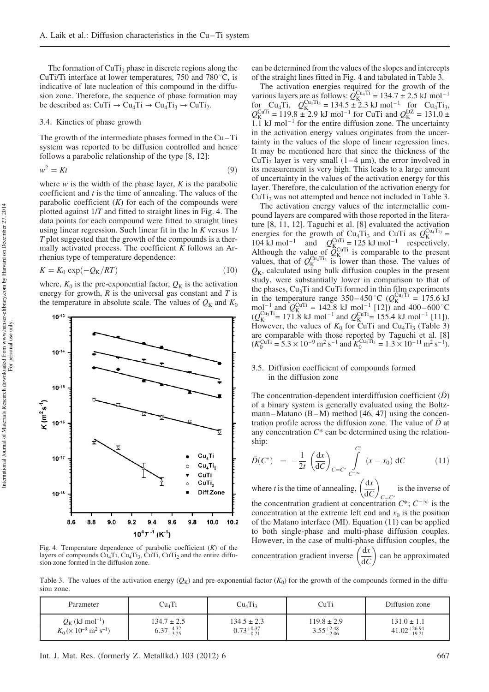The formation of  $CuTi<sub>2</sub>$  phase in discrete regions along the CuTi/Ti interface at lower temperatures, 750 and 780 $\degree$ C, is indicative of late nucleation of this compound in the diffusion zone. Therefore, the sequence of phase formation may be described as:  $CuTi \rightarrow Cu_4Ti \rightarrow Cu_4Ti_3 \rightarrow CuTi_2$ .

#### 3.4. Kinetics of phase growth

The growth of the intermediate phases formed in the Cu – Ti system was reported to be diffusion controlled and hence follows a parabolic relationship of the type [8, 12]:

$$
w^2 = Kt \tag{9}
$$

where  $w$  is the width of the phase layer,  $K$  is the parabolic coefficient and  $t$  is the time of annealing. The values of the parabolic coefficient  $(K)$  for each of the compounds were plotted against 1/T and fitted to straight lines in Fig. 4. The data points for each compound were fitted to straight lines using linear regression. Such linear fit in the ln K versus 1/ T plot suggested that the growth of the compounds is a thermally activated process. The coefficient  $K$  follows an Arrhenius type of temperature dependence:

$$
K = K_0 \exp(-Q_K/RT) \tag{10}
$$

where,  $K_0$  is the pre-exponential factor,  $Q_K$  is the activation energy for growth,  $R$  is the universal gas constant and  $T$  is the temperature in absolute scale. The values of  $Q_K$  and  $K_0$ 



Fig. 4. Temperature dependence of parabolic coefficient  $(K)$  of the layers of compounds  $Cu_4Ti$ ,  $Cu_4Ti_3$ ,  $CuTi$ ,  $CuTi_2$  and the entire diffusion zone formed in the diffusion zone.

can be determined from the values of the slopes and intercepts of the straight lines fitted in Fig. 4 and tabulated in Table 3.

The activation energies required for the growth of the various layers are as follows:  $Q_K^{\text{Cu}_4\text{Ti}} = 134.7 \pm 2.5 \text{ kJ} \text{ mol}^{-1}$ for Cu<sub>4</sub>Ti,  $Q_{K}^{Cu_{4}Ti_{3}} = 134.5 \pm 2.3 \text{ kJ} \text{ mol}^{-1}$  for Cu<sub>4</sub>Ti<sub>3</sub>,  $Q_{\text{K}}^{\text{CuTi}} = 119.8 \pm 2.9 \text{ kJ} \text{ mol}^{-1} \text{ for CuTi and } Q_{\text{K}}^{\text{DZ}} = 131.0 \pm 1.0 \text{ mJ}^{-1} \text{ m}^{-1} \text{ m}^{-1} \text{ m}^{-1} \text{ m}^{-1} \text{ m}^{-1} \text{ m}^{-1} \text{ m}^{-1} \text{ m}^{-1} \text{ m}^{-1} \text{ m}^{-1} \text{ m}^{-1} \text{ m}^{-1} \text{ m}^{-1} \text{ m}^{-1} \text{ m}^{-1} \text{ m}^{-1} \text{ m}^{-1$  $1.1$  kJ mol<sup>-1</sup> for the entire diffusion zone. The uncertainty in the activation energy values originates from the uncertainty in the values of the slope of linear regression lines. It may be mentioned here that since the thickness of the CuTi<sub>2</sub> layer is very small  $(1-4 \mu m)$ , the error involved in its measurement is very high. This leads to a large amount of uncertainty in the values of the activation energy for this layer. Therefore, the calculation of the activation energy for CuTi<sub>2</sub> was not attempted and hence not included in Table 3.

The activation energy values of the intermetallic compound layers are compared with those reported in the literature [8, 11, 12]. Taguchi et al. [8] evaluated the activation energies for the growth of Cu<sub>4</sub>Ti<sub>3</sub> and CuTi as  $Q_K^{Cu_4Ti_3}$  = 104 kJ mol<sup>-1</sup> and  $Q_{K_{\text{C}}T}^{\text{CuTi}} = 125 \text{ kJ} \text{ mol}^{-1}$  respectively. Although the value of  $\tilde{Q}_{K}^{\text{CuTi}}$  is comparable to the present values, that of  $Q_K^{\text{Cu}_4\text{Ti}_3}$  is lower than those. The values of  $Q_{K}$ , calculated using bulk diffusion couples in the present study, were substantially lower in comparison to that of the phases,  $Cu<sub>3</sub>Ti$  and  $CuTi$  formed in thin film experiments in the temperature range 350–450 °C ( $Q_{\rm K}^{\rm Cu_3Ti}$  = 175.6 kJ mol<sup>-1</sup> and  $Q_{K}^{\text{CuTi}} = 142.8 \text{ kJ} \text{ mol}^{-1}$  [12]) and 400–600 °C  $(Q_{\rm K}^{\rm Cu_3Ti} = 171.8 \text{ kJ mol}^{-1} \text{ and } Q_{\rm K}^{\rm CuTi} = 155.4 \text{ kJ mol}^{-1} \text{ [11]}.$ However, the values of  $K_0$  for CuTi and Cu<sub>4</sub>Ti<sub>3</sub> (Table 3) are comparable with those reported by Taguchi et al. [8]  $(K_0^{\text{CuTi}} = 5.3 \times 10^{-9} \text{ m}^2 \text{ s}^{-1} \text{ and } K_0^{\text{Cu4Ti}_3} = 1.3 \times 10^{-11} \text{ m}^2 \text{ s}^{-1}).$ 

#### 3.5. Diffusion coefficient of compounds formed in the diffusion zone

The concentration-dependent interdiffusion coefficient  $(D)$ of a binary system is generally evaluated using the Boltzmann-Matano  $(B-M)$  method [46, 47] using the concentration profile across the diffusion zone. The value of  $D$  at any concentration  $C^*$  can be determined using the relationship:

$$
\tilde{D}(C^*) = -\frac{1}{2t} \left(\frac{dx}{dC}\right)_{C=C^*} \int_{C^{-\infty}}^{C^*} (x - x_0) dC \qquad (11)
$$

where *t* is the time of annealing,  $\left(\frac{dx}{dC}\right)$  $\int dx$  $C=C^*$ is the inverse of the concentration gradient at concentration  $C^*$ ;  $C^{-\infty}$  is the concentration at the extreme left end and  $x_0$  is the position of the Matano interface (MI). Equation (11) can be applied to both single-phase and multi-phase diffusion couples. However, in the case of multi-phase diffusion couples, the concentration gradient inverse  $\left(\frac{dx}{d\sigma}\right)$  $dC$ can be approximated

Table 3. The values of the activation energy  $(Q_K)$  and pre-exponential factor  $(K_0)$  for the growth of the compounds formed in the diffusion zone.

| Parameter                                             | Cu <sub>4</sub> Ti     | Cu <sub>4</sub> Ti <sub>3</sub> | CuTi                   | Diffusion zone            |
|-------------------------------------------------------|------------------------|---------------------------------|------------------------|---------------------------|
| $Q_{\rm K}$ (kJ mol <sup>-1</sup> )                   | $134.7 \pm 2.5$        | $134.5 \pm 2.3$                 | $119.8 \pm 2.9$        | $131.0 \pm 1.1$           |
| $K_0 \times 10^{-9}$ m <sup>2</sup> s <sup>-1</sup> ) | $6.37^{+4.32}_{-3.25}$ | $0.73_{-0.21}^{+0.37}$          | $3.55^{+2.48}_{-2.06}$ | $41.02_{-19.21}^{+26.94}$ |

 $10^{-13}$ 

 $10^{-14}$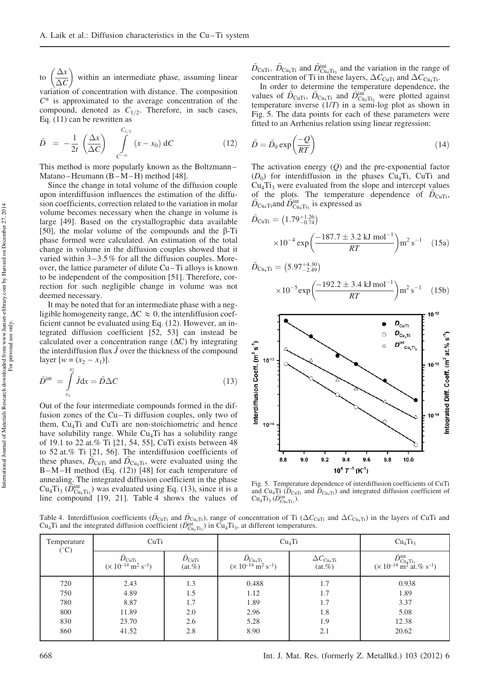to  $\Delta x$  $\overline{\Delta C}$  within an intermediate phase, assuming linear variation of concentration with distance. The composition  $C^*$  is approximated to the average concentration of the compound, denoted as  $C_{1/2}$ . Therefore, in such cases, Eq. (11) can be rewritten as

$$
\tilde{D} = -\frac{1}{2t} \left( \frac{\Delta x}{\Delta C} \right) \int_{C^{-\infty}}^{C_{1/2}} (x - x_0) dC \qquad (12)
$$

This method is more popularly known as the Boltzmann – Matano-Heumann (B-M-H) method [48].

Since the change in total volume of the diffusion couple upon interdiffusion influences the estimation of the diffusion coefficients, correction related to the variation in molar volume becomes necessary when the change in volume is large [49]. Based on the crystallographic data available [50], the molar volume of the compounds and the  $\beta$ -Ti phase formed were calculated. An estimation of the total change in volume in the diffusion couples showed that it varied within  $3-3.5\%$  for all the diffusion couples. Moreover, the lattice parameter of dilute Cu – Ti alloys is known to be independent of the composition [51]. Therefore, correction for such negligible change in volume was not deemed necessary.

It may be noted that for an intermediate phase with a negligible homogeneity range,  $\Delta C \approx 0$ , the interdiffusion coefficient cannot be evaluated using Eq. (12). However, an integrated diffusion coefficient [52, 53] can instead be calculated over a concentration range  $(\Delta C)$  by integrating the interdiffusion flux  $\ddot{J}$  over the thickness of the compound layer  $[w = (x_2 - x_1)].$ 

$$
\tilde{D}^{\text{int}} = \int_{x_1} \tilde{J} dx = \tilde{D} \Delta C \qquad (13)
$$

 $\mathcal{X}_2$ 

Out of the four intermediate compounds formed in the diffusion zones of the Cu–Ti diffusion couples, only two of them,  $Cu<sub>4</sub>Ti$  and  $CuTi$  are non-stoichiometric and hence have solubility range. While  $Cu<sub>4</sub>Ti$  has a solubility range of 19.1 to 22 at.% Ti [21, 54, 55], CuTi exists between 48 to 52 at.% Ti [21, 56]. The interdiffusion coefficients of these phases,  $D_{\text{CuTi}}$  and  $D_{\text{Cu}_4\text{Ti}}$ , were evaluated using the B-M-H method (Eq. (12)) [48] for each temperature of annealing. The integrated diffusion coefficient in the phase  $\text{Cu}_{4}\text{Ti}_{3}$  ( $\tilde{D}_{\text{Cu}_{4}\text{Ti}_{3}}^{\text{int}}$ ) was evaluated using Eq. (13), since it is a line compound [19, 21]. Table 4 shows the values of

 $\tilde{D}_{\text{CuTi}}$ ,  $\tilde{D}_{\text{Cu}_4\text{Ti}}$  and  $\tilde{D}_{\text{Cu}_4\text{Ti}}^{\text{int}}$  and the variation in the range of concentration of Ti in these layers,  $\Delta C_{\text{CuTi}}$  and  $\Delta C_{\text{CuTi}}$ .

In order to determine the temperature dependence, the values of  $\tilde{D}_{\text{CuTi}}$ ,  $\tilde{D}_{\text{Cu}_4\text{Ti}}$  and  $\tilde{D}_{\text{Cu}_4\text{Ti}_3}^{\text{int}}$  were plotted against temperature inverse (1/T) in a semi-log plot as shown in Fig. 5. The data points for each of these parameters were fitted to an Arrhenius relation using linear regression:

$$
\tilde{D} = \tilde{D}_0 \exp\left(\frac{-Q}{RT}\right) \tag{14}
$$

The activation energy  $(Q)$  and the pre-exponential factor  $(D_0)$  for interdiffusion in the phases Cu<sub>4</sub>Ti, CuTi and  $Cu<sub>4</sub>Ti<sub>3</sub>$  were evaluated from the slope and intercept values of the plots. The temperature dependence of  $D_{\text{CuTi}}$ ,  $\tilde{D}_{\text{Cu}_4\text{Ti}}$  and  $\tilde{D}_{\text{Cu}_4\text{Ti}_3}^{\text{int}}$  is expressed as

$$
\tilde{D}_{\text{CuTi}} = (1.79_{-0.74}^{+1.26})
$$
\n
$$
\times 10^{-4} \exp\left(\frac{-187.7 \pm 3.2 \text{ kJ mol}^{-1}}{RT}\right) \text{m}^2 \text{ s}^{-1} \quad (15a)
$$

$$
\tilde{D}_{Cu_4Ti}=\left(5.97^{+4.30}_{-2.49}\right)
$$

$$
\times 10^{-5} \exp\left(\frac{-192.2 \pm 3.4 \text{ kJ mol}^{-1}}{RT}\right) \text{m}^2 \text{ s}^{-1}
$$
 (15b)



Fig. 5. Temperature dependence of interdiffusion coefficients of CuTi and Cu<sub>4</sub>T<sub>1</sub> ( $\overline{\tilde{D}}_{\text{CuTi}}$  and  $\overline{\tilde{D}}_{\text{Cu}_4\text{Ti}}$ ) and integrated diffusion coefficient of  $Cu_4Ti_3 (D_{Cu_4Ti_3}^{int}).$ 

Table 4. Interdiffusion coefficients ( $\tilde{D}_{\text{CuTi}}$  and  $\tilde{D}_{\text{Cu_4Ti}}$ ), range of concentration of Ti ( $\Delta C_{\text{CuTi}}$  and  $\Delta C_{\text{Cu_4Ti}}$ ) in the layers of CuTi and Cu<sub>4</sub>Ti and the integrated diffusion coefficient ( $\tilde{D}_{\text{Cu}_4\text{Ti}_3}^{\text{int}}$ ) in Cu<sub>4</sub>Ti<sub>3</sub>, at different temperatures.

| Temperature<br>$({}^{\circ}C)$ | CuTi                                                                       |                                      | Cu <sub>4</sub> Ti                                                                  | Cu <sub>4</sub> Ti <sub>3</sub>      |                                                                                            |
|--------------------------------|----------------------------------------------------------------------------|--------------------------------------|-------------------------------------------------------------------------------------|--------------------------------------|--------------------------------------------------------------------------------------------|
|                                | $D_{\text{CuTi}}$<br>(× 10 <sup>-14</sup> m <sup>2</sup> s <sup>-1</sup> ) | $\tilde{D}_{\rm{CuTi}}$<br>$(at.\%)$ | $D_{\text{Cu}_4\text{Ti}}$<br>(× 10 <sup>-14</sup> m <sup>2</sup> s <sup>-1</sup> ) | $\Delta C_{\rm Cu_4Ti}$<br>$(at.\%)$ | $\tilde{D}_{Cu_4Ti_3}^{int}$<br>(× 10 <sup>-14</sup> m <sup>2</sup> at.% s <sup>-1</sup> ) |
| 720                            | 2.43                                                                       | 1.3                                  | 0.488                                                                               | 1.7                                  | 0.938                                                                                      |
| 750                            | 4.89                                                                       | 1.5                                  | 1.12                                                                                | 1.7                                  | 1.89                                                                                       |
| 780                            | 8.87                                                                       | 1.7                                  | 1.89                                                                                | 1.7                                  | 3.37                                                                                       |
| 800                            | 11.89                                                                      | 2.0                                  | 2.96                                                                                | 1.8                                  | 5.08                                                                                       |
| 830                            | 23.70                                                                      | 2.6                                  | 5.28                                                                                | 1.9                                  | 12.38                                                                                      |
| 860                            | 41.52                                                                      | 2.8                                  | 8.90                                                                                | 2.1                                  | 20.62                                                                                      |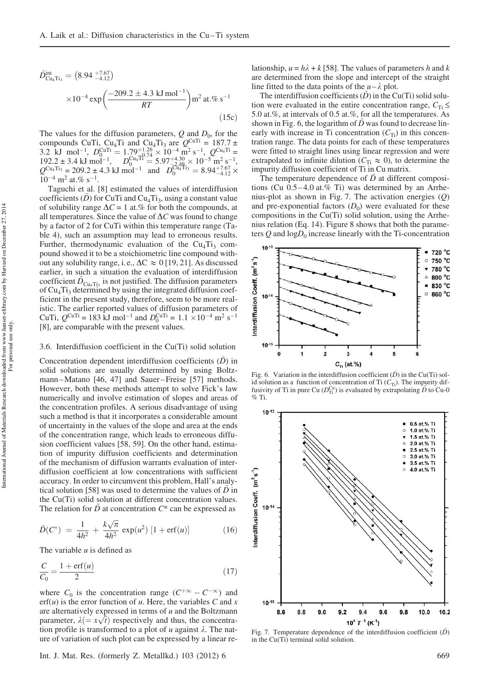$$
\tilde{D}_{\text{Cu}_4\text{Ti}_3}^{\text{int}} = (8.94 \frac{+7.67}{-4.12})
$$
\n
$$
\times 10^{-4} \exp\left(\frac{-209.2 \pm 4.3 \text{ kJ mol}^{-1}}{RT}\right) \text{m}^2 \text{ at. % s}^{-1}
$$
\n(15c)

The values for the diffusion parameters,  $Q$  and  $D_0$ , for the compounds CuTi, Cu<sub>4</sub>Ti and Cu<sub>4</sub>Ti<sub>3</sub> are  $Q^{\text{CuTi}} = 187.7 \pm$ 3.2 kJ mol<sup>-1</sup>,  $D_0^{\text{CuTi}} = 1.79_{-1.26}^{+1.26} \times 10^{-4} \text{ m}^2 \text{ s}^{-1}$ ,  $Q^{\text{Cu}_4\text{Ti}} =$ <br>102.2.4 kJ we l<sup>-1</sup>  $192.2 \pm 3.4 \text{ kJ} \text{ mol}^{-1}$ ,  $D_{0}^{\text{Cu}}$   $\overline{1}^{1}_{\text{O}} = 5.97^{+4.30}_{-2.49} \times 10^{-5} \text{ m}^2 \text{ s}^{-1}$ ,  $Q^{\text{Cu}_4\text{Ti}_3} = 209.2 \pm 4.3 \text{ kJ} \text{ mol}^{-1} \text{ and } D_0^{\text{Cu}_4^{\text{T}}\text{Ti}_3} = 8.94_{-4.12}^{+7.67} \times 10^{-4} \text{ m}^2 \text{ at.}\% \text{ s}^{-1}.$ 

Taguchi et al. [8] estimated the values of interdiffusion coefficients  $(\tilde{D})$  for CuTi and Cu<sub>4</sub>T<sub>13</sub>, using a constant value of solubility range  $\Delta C = 1$  at.% for both the compounds, at all temperatures. Since the value of  $\Delta C$  was found to change by a factor of 2 for CuTi within this temperature range (Table 4), such an assumption may lead to erroneous results. Further, thermodynamic evaluation of the  $Cu<sub>4</sub>Ti<sub>3</sub>$  compound showed it to be a stoichiometric line compound without any solubility range, i.e.,  $\Delta C \approx 0$  [19, 21]. As discussed earlier, in such a situation the evaluation of interdiffusion coefficient  $\tilde{D}_{\text{Cu}_4\text{Ti}_3}$  is not justified. The diffusion parameters of  $Cu<sub>4</sub>Ti<sub>3</sub>$  determined by using the integrated diffusion coefficient in the present study, therefore, seem to be more realistic. The earlier reported values of diffusion parameters of CuTi,  $Q^{\text{CuTi}} = 183 \text{ kJ} \text{ mol}^{-1}$  and  $D_0^{\text{CuTi}} = 1.1 \times 10^{-4} \text{ m}^2 \text{ s}^{-1}$ [8], are comparable with the present values.

#### 3.6. Interdiffusion coefficient in the Cu(Ti) solid solution

Concentration dependent interdiffusion coefficients  $(D)$  in solid solutions are usually determined by using Boltzmann-Matano [46, 47] and Sauer-Freise [57] methods. However, both these methods attempt to solve Fick's law numerically and involve estimation of slopes and areas of the concentration profiles. A serious disadvantage of using such a method is that it incorporates a considerable amount of uncertainty in the values of the slope and area at the ends of the concentration range, which leads to erroneous diffusion coefficient values [58, 59]. On the other hand, estimation of impurity diffusion coefficients and determination of the mechanism of diffusion warrants evaluation of interdiffusion coefficient at low concentrations with sufficient accuracy. In order to circumvent this problem, Hall's analytical solution [58] was used to determine the values of  $\tilde{D}$  in the Cu(Ti) solid solution at different concentration values. The relation for  $\ddot{D}$  at concentration  $C^*$  can be expressed as

$$
\tilde{D}(C^*) = \frac{1}{4h^2} + \frac{k\sqrt{\pi}}{4h^2} \exp(u^2) [1 + \text{erf}(u)] \tag{16}
$$

The variable  $u$  is defined as

$$
\frac{C}{C_0} = \frac{1 + \text{erf}(u)}{2} \tag{17}
$$

where  $C_0$  is the concentration range  $(C^{+\infty} - C^{-\infty})$  and  $erf(u)$  is the error function of u. Here, the variables C and x are alternatively expressed in terms of  $u$  and the Boltzmann parameter,  $\lambda (= x\sqrt{t})$  respectively and thus, the concentration profile is transformed to a plot of u against  $\lambda$ . The nature of variation of such plot can be expressed by a linear relationship,  $u = h\lambda + k$  [58]. The values of parameters h and k are determined from the slope and intercept of the straight line fitted to the data points of the  $u - \lambda$  plot.

The interdiffusion coefficients  $(D)$  in the Cu(Ti) solid solution were evaluated in the entire concentration range,  $C_{\text{Ti}} \leq$ 5.0 at.%, at intervals of 0.5 at.%, for all the temperatures. As shown in Fig. 6, the logarithm of  $D$  was found to decrease linearly with increase in Ti concentration  $(C_{Ti})$  in this concentration range. The data points for each of these temperatures were fitted to straight lines using linear regression and were extrapolated to infinite dilution  $(C_{Ti} \approx 0)$ , to determine the impurity diffusion coefficient of Ti in Cu matrix.

The temperature dependence of  $\tilde{D}$  at different compositions (Cu  $0.5-4.0$  at.% Ti) was determined by an Arrhenius-plot as shown in Fig. 7. The activation energies (Q) and pre-exponential factors  $(D_0)$  were evaluated for these compositions in the Cu(Ti) solid solution, using the Arrhenius relation (Eq. 14). Figure 8 shows that both the parameters  $Q$  and  $logD_0$  increase linearly with the Ti-concentration



Fig. 6. Variation in the interdiffusion coefficient  $(\tilde{D})$  in the Cu(Ti) solid solution as a function of concentration of Ti  $(C_T)$ . The impurity diffusivity of Ti in pure Cu  $(D_{\Pi}^{Cu})$  is evaluated by extrapolating  $\tilde{D}$  to Cu-0  $\%$  Ti.



Fig. 7. Temperature dependence of the interdiffusion coefficient  $(\tilde{D})$ in the Cu(Ti) terminal solid solution.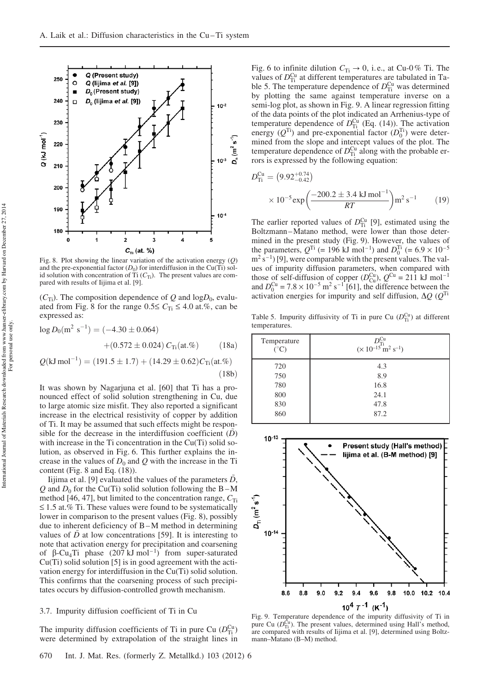

Fig. 8. Plot showing the linear variation of the activation energy  $(Q)$ and the pre-exponential factor  $(D_0)$  for interdiffusion in the Cu(Ti) solid solution with concentration of Ti  $(C_{Ti})$ . The present values are compared with results of Iijima et al. [9].

 $(C_{\text{Ti}})$ . The composition dependence of Q and log $D_0$ , evaluated from Fig. 8 for the range  $0.5 \le C_{Ti} \le 4.0$  at.%, can be expressed as:

$$
log D_0(m^2 s^{-1}) = (-4.30 \pm 0.064)
$$
  
+ (0.572 \pm 0.024) C<sub>Ti</sub>(at.%) (18a)  

$$
Q(kJ mol^{-1}) = (191.5 \pm 1.7) + (14.29 \pm 0.62)CTi(at.%)
$$
  
(18b)

It was shown by Nagarjuna et al. [60] that Ti has a pronounced effect of solid solution strengthening in Cu, due to large atomic size misfit. They also reported a significant increase in the electrical resistivity of copper by addition of Ti. It may be assumed that such effects might be responsible for the decrease in the interdiffusion coefficient  $(D)$ with increase in the Ti concentration in the Cu(Ti) solid solution, as observed in Fig. 6. This further explains the increase in the values of  $D_0$  and  $Q$  with the increase in the Ti content (Fig. 8 and Eq. (18)).

Iijima et al. [9] evaluated the values of the parameters  $D$ , Q and  $D_0$  for the Cu(Ti) solid solution following the B-M method [46, 47], but limited to the concentration range,  $C_{Ti}$  $\leq$  1.5 at.% Ti. These values were found to be systematically lower in comparison to the present values (Fig. 8), possibly due to inherent deficiency of B –M method in determining values of  $\tilde{D}$  at low concentrations [59]. It is interesting to note that activation energy for precipitation and coarsening of β-Cu<sub>4</sub>Ti phase  $(207 \text{ kJ mol}^{-1})$  from super-saturated Cu(Ti) solid solution [5] is in good agreement with the activation energy for interdiffusion in the Cu(Ti) solid solution. This confirms that the coarsening process of such precipitates occurs by diffusion-controlled growth mechanism.

#### 3.7. Impurity diffusion coefficient of Ti in Cu

The impurity diffusion coefficients of Ti in pure Cu  $(D_{\text{Ti}}^{\text{Cu}})$ were determined by extrapolation of the straight lines in

670 Int. J. Mat. Res. (formerly Z. Metallkd.) 103 (2012) 6

Fig. 6 to infinite dilution  $C_{Ti} \rightarrow 0$ , i.e., at Cu-0% Ti. The values of  $D_{\text{Ti}}^{\text{Cu}}$  at different temperatures are tabulated in Table 5. The temperature dependence of  $D_{\text{Ti}}^{\text{Cu}}$  was determined by plotting the same against temperature inverse on a semi-log plot, as shown in Fig. 9. A linear regression fitting of the data points of the plot indicated an Arrhenius-type of temperature dependence of  $D_{\text{Ti}}^{\text{Cu}}$  (Eq. (14)). The activation energy  $(Q^{Ti})$  and pre-exponential factor  $(D_0^{Ti})$  were determined from the slope and intercept values of the plot. The temperature dependence of  $D_{\text{Ti}}^{\text{Cu}}$  along with the probable errors is expressed by the following equation:

$$
D_{\text{Ti}}^{\text{Cu}} = (9.92^{+0.74}_{-0.42})
$$
  
× 10<sup>-5</sup> exp $\left(\frac{-200.2 \pm 3.4 \text{ kJ} \text{ mol}^{-1}}{RT}\right)$ m<sup>2</sup> s<sup>-1</sup> (19)

The earlier reported values of  $D_{\text{Ti}}^{\text{Cu}}$  [9], estimated using the Boltzmann –Matano method, were lower than those determined in the present study (Fig. 9). However, the values of the parameters,  $Q^{Ti}$  (= 196 kJ mol<sup>-1</sup>) and  $D_0^{Ti}$  (= 6.9 × 10<sup>-5</sup>)  $\text{m}^2$  s<sup>-1</sup>) [9], were comparable with the present values. The values of impurity diffusion parameters, when compared with those of self-diffusion of copper  $(D_{\text{Cu}}^{\text{Cu}})$ ,  $Q^{\text{Cu}} = 211 \text{ kJ} \text{ mol}^{-1}$ and  $D_0^{\text{Cu}} = 7.8 \times 10^{-5} \text{ m}^2 \text{ s}^{-1}$  [61], the difference between the activation energies for impurity and self diffusion,  $\Delta Q$  ( $Q^{Ti}$ 

Table 5. Impurity diffusivity of Ti in pure Cu  $(D_{\text{Ti}}^{\text{Cu}})$  at different temperatures.

| Temperature<br>$({}^{\circ}C)$ | $D_{\text{Ti}}^{\text{Cu}}$<br>(× 10 <sup>-15</sup> m <sup>2</sup> s <sup>-1</sup> ) |
|--------------------------------|--------------------------------------------------------------------------------------|
| 720                            | 4.3                                                                                  |
| 750                            | 8.9                                                                                  |
| 780                            | 16.8                                                                                 |
| 800                            | 24.1                                                                                 |
| 830                            | 47.8                                                                                 |
| 860                            | 87.2                                                                                 |



Fig. 9. Temperature dependence of the impurity diffusivity of Ti in pure Cu  $(D_{\text{Ti}}^{\text{Cu}})$ . The present values, determined using Hall's method, are compared with results of Iijima et al. [9], determined using Boltzmann–Matano (B–M) method.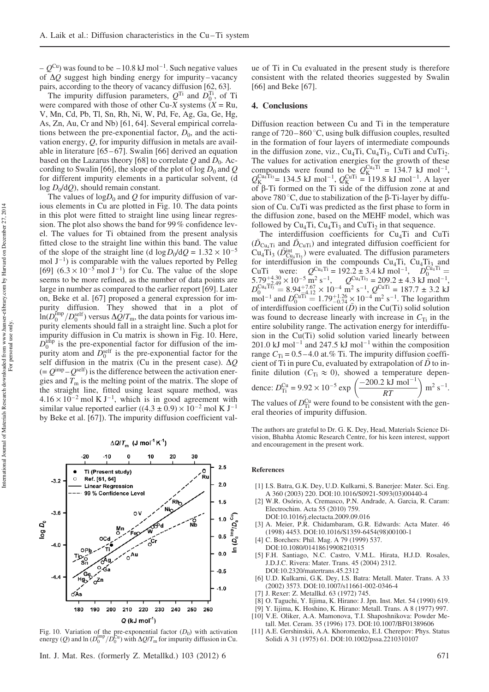–  $Q^{Cu}$ ) was found to be – 10.8 kJ mol<sup>-1</sup>. Such negative values of  $\Delta Q$  suggest high binding energy for impurity – vacancy pairs, according to the theory of vacancy diffusion [62, 63].

The impurity diffusion parameters,  $Q^{Ti}$  and  $D_0^{Ti}$ , of Ti were compared with those of other Cu-X systems  $(X = Ru,$ V, Mn, Cd, Pb, Tl, Sn, Rh, Ni, W, Pd, Fe, Ag, Ga, Ge, Hg, As, Zn, Au, Cr and Nb) [61, 64]. Several empirical correlations between the pre-exponential factor,  $D_0$ , and the activation energy, Q, for impurity diffusion in metals are available in literature [65 – 67]. Swalin [66] derived an equation based on the Lazarus theory [68] to correlate  $Q$  and  $D_0$ . According to Swalin [66], the slope of the plot of log  $D_0$  and Q for different impurity elements in a particular solvent, (d  $log D_0/dQ$ ), should remain constant.

The values of  $logD_0$  and Q for impurity diffusion of various elements in Cu are plotted in Fig. 10. The data points in this plot were fitted to straight line using linear regression. The plot also shows the band for 99% confidence level. The values for Ti obtained from the present analysis fitted close to the straight line within this band. The value of the slope of the straight line (d  $\log D_0 / dQ = 1.32 \times 10^{-5}$ mol  $J^{-1}$ ) is comparable with the values reported by Pelleg [69]  $(6.3 \times 10^{-5} \text{ mol J}^{-1})$  for Cu. The value of the slope seems to be more refined, as the number of data points are large in number as compared to the earlier report [69]. Later on, Beke et al. [67] proposed a general expression for impurity diffusion. They showed that in a plot of  $\ln(D_0^{\text{imp}}/D_0^{\text{self}})$  versus  $\Delta Q/T_m$ , the data points for various impurity elements should fall in a straight line. Such a plot for impurity diffusion in Cu matrix is shown in Fig. 10. Here,  $D_0^{\text{imp}}$  is the pre-exponential factor for diffusion of the impurity atom and  $\overline{D}_0^{\text{self}}$  is the pre-exponential factor for the self diffusion in the matrix (Cu in the present case).  $\Delta Q$  $(= Q^{\text{imp}} - Q^{\text{self}})$  is the difference between the activation energies and  $T<sub>m</sub>$  is the melting point of the matrix. The slope of the straight line, fitted using least square method, was  $4.16 \times 10^{-2}$  mol K J<sup>-1</sup>, which is in good agreement with similar value reported earlier ((4.3  $\pm$  0.9)  $\times$  10<sup>-2</sup> mol K J<sup>-1</sup> by Beke et al. [67]). The impurity diffusion coefficient val-

#### $\Delta Q/T_m$  (J mol<sup>-1</sup> K<sup>-1</sup>)



Fig. 10. Variation of the pre-exponential factor  $(D_0)$  with activation energy (Q) and  $\ln (D_0^{\text{imp}}/D_0^{\text{Cu}})$  with  $\Delta Q/T_m$  for impurity diffusion in Cu.

ue of Ti in Cu evaluated in the present study is therefore consistent with the related theories suggested by Swalin [66] and Beke [67].

#### 4. Conclusions

Diffusion reaction between Cu and Ti in the temperature range of  $720-860^{\circ}$ C, using bulk diffusion couples, resulted in the formation of four layers of intermediate compounds in the diffusion zone, viz.,  $Cu<sub>4</sub>Ti$ ,  $Cu<sub>4</sub>Ti<sub>3</sub>$ ,  $CuTi$  and  $CuTi<sub>2</sub>$ . The values for activation energies for the growth of these compounds were found to be  $Q_K^{\text{Cu}_4\text{Ti}} = 134.7 \text{ kJ mol}^{-1}$ ,  $Q_{K}^{Cu_{4}Ti_{3}}$  = 134.5 kJ mol<sup>-1</sup>,  $Q_{K}^{CuTi}$  = 119.8 kJ mol<sup>-1</sup>. A layer of  $\beta$ -Ti formed on the Ti side of the diffusion zone at and above 780 °C, due to stabilization of the  $\beta$ -Ti-layer by diffusion of Cu. CuTi was predicted as the first phase to form in the diffusion zone, based on the MEHF model, which was followed by  $Cu_4Ti$ ,  $Cu_4Ti_3$  and  $CuTi_2$  in that sequence.

The interdiffusion coefficients for  $Cu<sub>4</sub>Ti$  and CuTi  $(D_{\text{Cu}_4\text{Ti}}$  and  $D_{\text{CuTi}}$ ) and integrated diffusion coefficient for  $\text{Cu}_{4}\text{Ti}_{3}$  ( $\tilde{D}_{\text{Cu}_{4}\text{Ti}_{3}}^{\text{int}}$ ) were evaluated. The diffusion parameters for interdiffusion in the compounds  $Cu<sub>4</sub>Ti$ ,  $Cu<sub>4</sub>Ti<sub>3</sub>$  and CuTi were:  $Q^{\text{Cu}_4\text{Ti}} = 192.2 \pm 3.4 \text{ kJ} \text{ mol}^{-1}$ ,  $D_0^{\text{Cu}_4\text{Ti}} = 5.79^{+4.30} \times 10^{-5} \text{ m}^2 \text{ s}^{-1}$ ,  $Q^{\text{Cu}_4\text{Ti}} = 209.2 \pm 4.3 \text{ kJ} \text{ mol}^{-1}$ ,  $D_0^{\text{Cu}_4\text{Ti}_3^{-1}} = 8.94_{-4.12}^{+7.67} \times 10^{-4} \text{ m}^2 \text{ s}^{-1}$ ,  $Q^{\text{CuTi}} = 187.7 \pm 3.2 \text{ kJ}$ mol<sup>-1</sup> and  $D_0^{\text{CuTi}} = 1.79^{+1.26}_{-0.74} \times 10^{-4} \text{ m}^2 \text{ s}^{-1}$ . The logarithm of interdiffusion coefficient  $(D)$  in the Cu(Ti) solid solution was found to decrease linearly with increase in  $C_{Ti}$  in the entire solubility range. The activation energy for interdiffusion in the Cu(Ti) solid solution varied linearly between 201.0 kJ mol<sup>-1</sup> and 247.5 kJ mol<sup>-1</sup> within the composition range  $C_{Ti} = 0.5 - 4.0$  at.% Ti. The impurity diffusion coefficient of Ti in pure Cu, evaluated by extrapolation of  $\tilde{D}$  to infinite dilution ( $C_{Ti} \approx 0$ ), showed a temperature dependence:  $D_{\text{Ti}}^{\text{Cu}} = 9.92 \times 10^{-5} \text{ exp}$  $\left(\frac{-200.2 \text{ kJ mol}^{-1}}{RT}\right) \text{m}^2$  $s^{-1}$ .

The values of  $D_{\text{Ti}}^{\text{Cu}}$  were found to be consistent with the general theories of impurity diffusion.

The authors are grateful to Dr. G. K. Dey, Head, Materials Science Division, Bhabha Atomic Research Centre, for his keen interest, support and encouragement in the present work.

#### References

- [1] I.S. Batra, G.K. Dey, U.D. Kulkarni, S. Banerjee: Mater. Sci. Eng. A 360 (2003) 220. DOI:10.1016/S0921-5093(03)00440-4
- [2] W.R. Osório, A. Cremasco, P.N. Andrade, A. Garcia, R. Caram: Electrochim. Acta 55 (2010) 759. DOI:10.1016/j.electacta.2009.09.016
- [3] A. Meier, P.R. Chidambaram, G.R. Edwards: Acta Mater. 46 (1998) 4453. DOI:10.1016/S1359-6454(98)00100-1
- [4] C. Borchers: Phil. Mag. A 79 (1999) 537.
- DOI:10.1080/01418619908210315
- [5] F.H. Santiago, N.C. Castro, V.M.L. Hirata, H.J.D. Rosales, J.D.J.C. Rivera: Mater. Trans. 45 (2004) 2312. DOI:10.2320/matertrans.45.2312
- [6] U.D. Kulkarni, G.K. Dey, I.S. Batra: Metall. Mater. Trans. A 33 (2002) 3573. DOI:10.1007/s11661-002-0346-4
- [7] J. Rexer: Z. Metallkd. 63 (1972) 745.
- [8] O. Taguchi, Y. Iijima, K. Hirano: J. Jpn. Inst. Met. 54 (1990) 619.
- [9] Y. Iijima, K. Hoshino, K. Hirano: Metall. Trans. A 8 (1977) 997.
- [10] V.E. Oliker, A.A. Mamonova, T.I. Shaposhnikova: Powder Metall. Met. Ceram. 35 (1996) 173. DOI:10.1007/BF01389606
- [11] A.E. Gershinskii, A.A. Khoromenko, E.I. Cherepov: Phys. Status Solidi A 31 (1975) 61. DOI:10.1002/pssa.2210310107